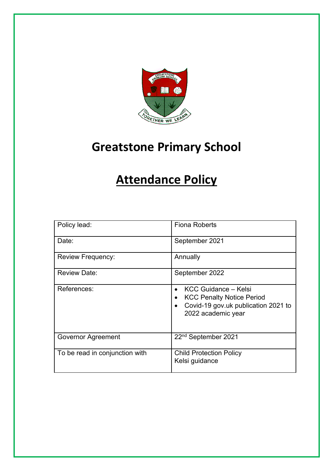

# **Greatstone Primary School**

# **Attendance Policy**

| Policy lead:                   | <b>Fiona Roberts</b>                                                                                                               |
|--------------------------------|------------------------------------------------------------------------------------------------------------------------------------|
| Date:                          | September 2021                                                                                                                     |
| <b>Review Frequency:</b>       | Annually                                                                                                                           |
| <b>Review Date:</b>            | September 2022                                                                                                                     |
| References:                    | KCC Guidance - Kelsi<br><b>KCC Penalty Notice Period</b><br>Covid-19 gov.uk publication 2021 to<br>$\bullet$<br>2022 academic year |
| <b>Governor Agreement</b>      | 22 <sup>nd</sup> September 2021                                                                                                    |
| To be read in conjunction with | <b>Child Protection Policy</b><br>Kelsi guidance                                                                                   |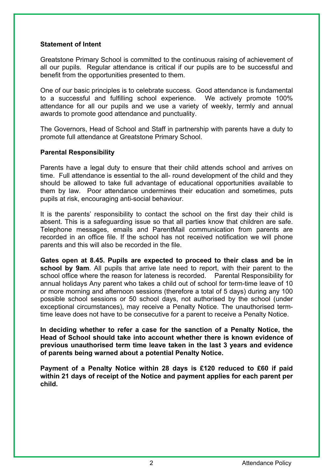# **Statement of Intent**

Greatstone Primary School is committed to the continuous raising of achievement of all our pupils. Regular attendance is critical if our pupils are to be successful and benefit from the opportunities presented to them.

One of our basic principles is to celebrate success. Good attendance is fundamental to a successful and fulfilling school experience. We actively promote 100% attendance for all our pupils and we use a variety of weekly, termly and annual awards to promote good attendance and punctuality.

The Governors, Head of School and Staff in partnership with parents have a duty to promote full attendance at Greatstone Primary School.

# **Parental Responsibility**

Parents have a legal duty to ensure that their child attends school and arrives on time. Full attendance is essential to the all- round development of the child and they should be allowed to take full advantage of educational opportunities available to them by law. Poor attendance undermines their education and sometimes, puts pupils at risk, encouraging anti-social behaviour.

It is the parents' responsibility to contact the school on the first day their child is absent. This is a safeguarding issue so that all parties know that children are safe. Telephone messages, emails and ParentMail communication from parents are recorded in an office file. If the school has not received notification we will phone parents and this will also be recorded in the file.

**Gates open at 8.45. Pupils are expected to proceed to their class and be in school by 9am**. All pupils that arrive late need to report, with their parent to the school office where the reason for lateness is recorded. Parental Responsibility for annual holidays Any parent who takes a child out of school for term-time leave of 10 or more morning and afternoon sessions (therefore a total of 5 days) during any 100 possible school sessions or 50 school days, not authorised by the school (under exceptional circumstances), may receive a Penalty Notice. The unauthorised termtime leave does not have to be consecutive for a parent to receive a Penalty Notice.

**In deciding whether to refer a case for the sanction of a Penalty Notice, the Head of School should take into account whether there is known evidence of previous unauthorised term time leave taken in the last 3 years and evidence of parents being warned about a potential Penalty Notice.** 

**Payment of a Penalty Notice within 28 days is £120 reduced to £60 if paid within 21 days of receipt of the Notice and payment applies for each parent per child.**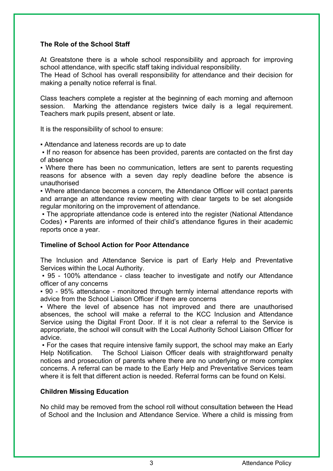# **The Role of the School Staff**

At Greatstone there is a whole school responsibility and approach for improving school attendance, with specific staff taking individual responsibility.

The Head of School has overall responsibility for attendance and their decision for making a penalty notice referral is final.

Class teachers complete a register at the beginning of each morning and afternoon session. Marking the attendance registers twice daily is a legal requirement. Teachers mark pupils present, absent or late.

It is the responsibility of school to ensure:

▪ Attendance and lateness records are up to date

▪ If no reason for absence has been provided, parents are contacted on the first day of absence

▪ Where there has been no communication, letters are sent to parents requesting reasons for absence with a seven day reply deadline before the absence is unauthorised

▪ Where attendance becomes a concern, the Attendance Officer will contact parents and arrange an attendance review meeting with clear targets to be set alongside regular monitoring on the improvement of attendance.

• The appropriate attendance code is entered into the register (National Attendance Codes) ▪ Parents are informed of their child's attendance figures in their academic reports once a year.

# **Timeline of School Action for Poor Attendance**

The Inclusion and Attendance Service is part of Early Help and Preventative Services within the Local Authority.

▪ 95 - 100% attendance - class teacher to investigate and notify our Attendance officer of any concerns

▪ 90 - 95% attendance - monitored through termly internal attendance reports with advice from the School Liaison Officer if there are concerns

▪ Where the level of absence has not improved and there are unauthorised absences, the school will make a referral to the KCC Inclusion and Attendance Service using the Digital Front Door. If it is not clear a referral to the Service is appropriate, the school will consult with the Local Authority School Liaison Officer for advice.

• For the cases that require intensive family support, the school may make an Early Help Notification. The School Liaison Officer deals with straightforward penalty notices and prosecution of parents where there are no underlying or more complex concerns. A referral can be made to the Early Help and Preventative Services team where it is felt that different action is needed. Referral forms can be found on Kelsi.

# **Children Missing Education**

No child may be removed from the school roll without consultation between the Head of School and the Inclusion and Attendance Service. Where a child is missing from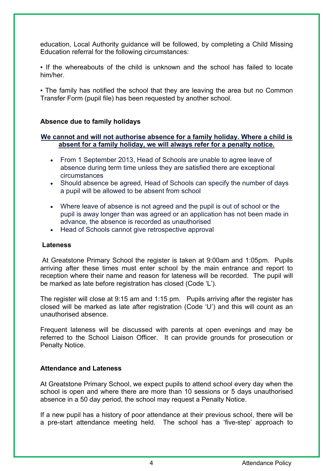education, Local Authority guidance will be followed, by completing a Child Missing Education referral for the following circumstances:

▪ If the whereabouts of the child is unknown and the school has failed to locate him/her.

• The family has notified the school that they are leaving the area but no Common Transfer Form (pupil file) has been requested by another school.

# **Absence due to family holidays**

# **We cannot and will not authorise absence for a family holiday. Where a child is absent for a family holiday, we will always refer for a penalty notice.**

- From 1 September 2013, Head of Schools are unable to agree leave of absence during term time unless they are satisfied there are exceptional circumstances
- Should absence be agreed, Head of Schools can specify the number of days a pupil will be allowed to be absent from school
- Where leave of absence is not agreed and the pupil is out of school or the pupil is away longer than was agreed or an application has not been made in advance, the absence is recorded as unauthorised
- Head of Schools cannot give retrospective approval

# **Lateness**

At Greatstone Primary School the register is taken at 9:00am and 1:05pm. Pupils arriving after these times must enter school by the main entrance and report to reception where their name and reason for lateness will be recorded. The pupil will be marked as late before registration has closed (Code 'L').

The register will close at 9:15 am and 1:15 pm. Pupils arriving after the register has closed will be marked as late after registration (Code 'U') and this will count as an unauthorised absence.

Frequent lateness will be discussed with parents at open evenings and may be referred to the School Liaison Officer. It can provide grounds for prosecution or Penalty Notice.

# **Attendance and Lateness**

At Greatstone Primary School, we expect pupils to attend school every day when the school is open and where there are more than 10 sessions or 5 days unauthorised absence in a 50 day period, the school may request a Penalty Notice.

If a new pupil has a history of poor attendance at their previous school, there will be a pre-start attendance meeting held. The school has a 'five-step' approach to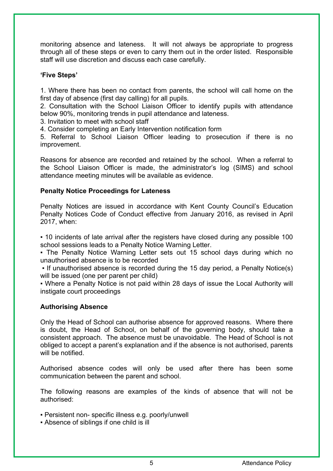monitoring absence and lateness. It will not always be appropriate to progress through all of these steps or even to carry them out in the order listed. Responsible staff will use discretion and discuss each case carefully.

# **'Five Steps'**

1. Where there has been no contact from parents, the school will call home on the first day of absence (first day calling) for all pupils.

2. Consultation with the School Liaison Officer to identify pupils with attendance below 90%, monitoring trends in pupil attendance and lateness.

3. Invitation to meet with school staff

4. Consider completing an Early Intervention notification form

5. Referral to School Liaison Officer leading to prosecution if there is no improvement.

Reasons for absence are recorded and retained by the school. When a referral to the School Liaison Officer is made, the administrator's log (SIMS) and school attendance meeting minutes will be available as evidence.

# **Penalty Notice Proceedings for Lateness**

Penalty Notices are issued in accordance with Kent County Council's Education Penalty Notices Code of Conduct effective from January 2016, as revised in April 2017, when:

▪ 10 incidents of late arrival after the registers have closed during any possible 100 school sessions leads to a Penalty Notice Warning Letter.

▪ The Penalty Notice Warning Letter sets out 15 school days during which no unauthorised absence is to be recorded

▪ If unauthorised absence is recorded during the 15 day period, a Penalty Notice(s) will be issued (one per parent per child)

• Where a Penalty Notice is not paid within 28 days of issue the Local Authority will instigate court proceedings

# **Authorising Absence**

Only the Head of School can authorise absence for approved reasons. Where there is doubt, the Head of School, on behalf of the governing body, should take a consistent approach. The absence must be unavoidable. The Head of School is not obliged to accept a parent's explanation and if the absence is not authorised, parents will be notified.

Authorised absence codes will only be used after there has been some communication between the parent and school.

The following reasons are examples of the kinds of absence that will not be authorised:

- Persistent non- specific illness e.g. poorly/unwell
- Absence of siblings if one child is ill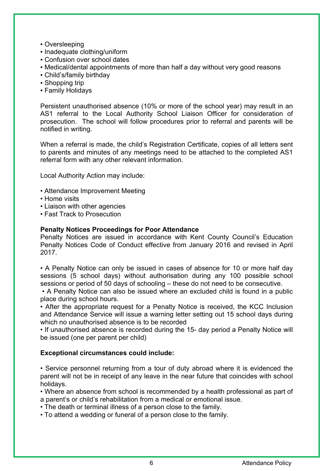- Oversleeping
- Inadequate clothing/uniform
- Confusion over school dates
- Medical/dental appointments of more than half a day without very good reasons
- Child's/family birthday
- Shopping trip
- Family Holidays

Persistent unauthorised absence (10% or more of the school year) may result in an AS1 referral to the Local Authority School Liaison Officer for consideration of prosecution. The school will follow procedures prior to referral and parents will be notified in writing.

When a referral is made, the child's Registration Certificate, copies of all letters sent to parents and minutes of any meetings need to be attached to the completed AS1 referral form with any other relevant information.

Local Authority Action may include:

- Attendance Improvement Meeting
- Home visits
- Liaison with other agencies
- Fast Track to Prosecution

#### **Penalty Notices Proceedings for Poor Attendance**

Penalty Notices are issued in accordance with Kent County Council's Education Penalty Notices Code of Conduct effective from January 2016 and revised in April 2017.

• A Penalty Notice can only be issued in cases of absence for 10 or more half day sessions (5 school days) without authorisation during any 100 possible school sessions or period of 50 days of schooling – these do not need to be consecutive.

• A Penalty Notice can also be issued where an excluded child is found in a public place during school hours.

• After the appropriate request for a Penalty Notice is received, the KCC Inclusion and Attendance Service will issue a warning letter setting out 15 school days during which no unauthorised absence is to be recorded

• If unauthorised absence is recorded during the 15- day period a Penalty Notice will be issued (one per parent per child)

# **Exceptional circumstances could include:**

• Service personnel returning from a tour of duty abroad where it is evidenced the parent will not be in receipt of any leave in the near future that coincides with school holidays.

• Where an absence from school is recommended by a health professional as part of a parent's or child's rehabilitation from a medical or emotional issue.

• The death or terminal illness of a person close to the family.

• To attend a wedding or funeral of a person close to the family.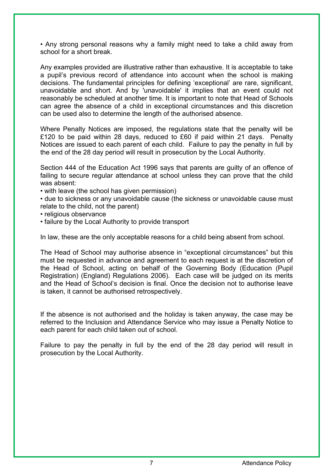• Any strong personal reasons why a family might need to take a child away from school for a short break.

Any examples provided are illustrative rather than exhaustive. It is acceptable to take a pupil's previous record of attendance into account when the school is making decisions. The fundamental principles for defining 'exceptional' are rare, significant, unavoidable and short. And by 'unavoidable' it implies that an event could not reasonably be scheduled at another time. It is important to note that Head of Schools can agree the absence of a child in exceptional circumstances and this discretion can be used also to determine the length of the authorised absence.

Where Penalty Notices are imposed, the regulations state that the penalty will be £120 to be paid within 28 days, reduced to £60 if paid within 21 days. Penalty Notices are issued to each parent of each child. Failure to pay the penalty in full by the end of the 28 day period will result in prosecution by the Local Authority.

Section 444 of the Education Act 1996 says that parents are guilty of an offence of failing to secure regular attendance at school unless they can prove that the child was absent:

• with leave (the school has given permission)

• due to sickness or any unavoidable cause (the sickness or unavoidable cause must relate to the child, not the parent)

• religious observance

• failure by the Local Authority to provide transport

In law, these are the only acceptable reasons for a child being absent from school.

The Head of School may authorise absence in "exceptional circumstances" but this must be requested in advance and agreement to each request is at the discretion of the Head of School, acting on behalf of the Governing Body (Education (Pupil Registration) (England) Regulations 2006). Each case will be judged on its merits and the Head of School's decision is final. Once the decision not to authorise leave is taken, it cannot be authorised retrospectively.

If the absence is not authorised and the holiday is taken anyway, the case may be referred to the Inclusion and Attendance Service who may issue a Penalty Notice to each parent for each child taken out of school.

Failure to pay the penalty in full by the end of the 28 day period will result in prosecution by the Local Authority.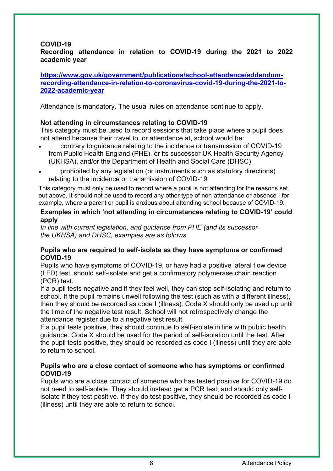# **COVID-19**

# **Recording attendance in relation to COVID-19 during the 2021 to 2022 academic year**

**https://www.gov.uk/government/publications/school-attendance/addendumrecording-attendance-in-relation-to-coronavirus-covid-19-during-the-2021-to-2022-academic-year**

Attendance is mandatory. The usual rules on attendance continue to apply.

# **Not attending in circumstances relating to COVID-19**

This category must be used to record sessions that take place where a pupil does not attend because their travel to, or attendance at, school would be:

- contrary to guidance relating to the incidence or transmission of COVID-19 from Public Health England (PHE), or its successor UK Health Security Agency (UKHSA), and/or the Department of Health and Social Care (DHSC)
- prohibited by any legislation (or instruments such as statutory directions) relating to the incidence or transmission of COVID-19

This category must only be used to record where a pupil is not attending for the reasons set out above. It should not be used to record any other type of non-attendance or absence - for example, where a parent or pupil is anxious about attending school because of COVID-19.

#### **Examples in which 'not attending in circumstances relating to COVID-19' could apply**

*In line with current legislation, and guidance from PHE (and its successor the UKHSA) and DHSC, examples are as follows.*

# **Pupils who are required to self-isolate as they have symptoms or confirmed COVID-19**

Pupils who have symptoms of COVID-19, or have had a positive lateral flow device (LFD) test, should self-isolate and get a confirmatory polymerase chain reaction (PCR) test.

If a pupil tests negative and if they feel well, they can stop self-isolating and return to school. If the pupil remains unwell following the test (such as with a different illness), then they should be recorded as code I (illness). Code X should only be used up until the time of the negative test result. School will not retrospectively change the attendance register due to a negative test result.

If a pupil tests positive, they should continue to self-isolate in line with public health guidance. Code X should be used for the period of self-isolation until the test. After the pupil tests positive, they should be recorded as code I (illness) until they are able to return to school.

# **Pupils who are a close contact of someone who has symptoms or confirmed COVID-19**

Pupils who are a close contact of someone who has tested positive for COVID-19 do not need to self-isolate. They should instead get a PCR test, and should only selfisolate if they test positive. If they do test positive, they should be recorded as code I (illness) until they are able to return to school.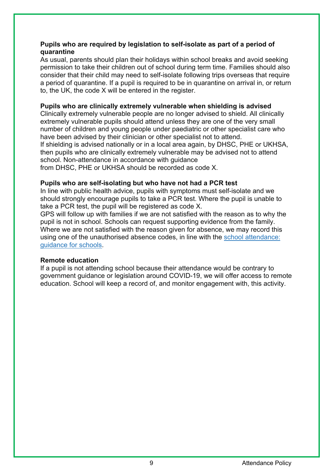# **Pupils who are required by legislation to self-isolate as part of a period of quarantine**

As usual, parents should plan their holidays within school breaks and avoid seeking permission to take their children out of school during term time. Families should also consider that their child may need to self-isolate following trips overseas that require a period of quarantine. If a pupil is required to be in quarantine on arrival in, or return to, the UK, the code X will be entered in the register.

# **Pupils who are clinically extremely vulnerable when shielding is advised**

Clinically extremely vulnerable people are no longer advised to shield. All clinically extremely vulnerable pupils should attend unless they are one of the very small number of children and young people under paediatric or other specialist care who have been advised by their clinician or other specialist not to attend. If shielding is advised nationally or in a local area again, by DHSC, PHE or UKHSA,

then pupils who are clinically extremely vulnerable may be advised not to attend school. Non-attendance in accordance with guidance

from DHSC, PHE or UKHSA should be recorded as code X.

# **Pupils who are self-isolating but who have not had a PCR test**

In line with public health advice, pupils with symptoms must self-isolate and we should strongly encourage pupils to take a PCR test. Where the pupil is unable to take a PCR test, the pupil will be registered as code X.

GPS will follow up with families if we are not satisfied with the reason as to why the pupil is not in school. Schools can request supporting evidence from the family. Where we are not satisfied with the reason given for absence, we may record this using one of the unauthorised absence codes, in line with the school attendance: guidance for schools.

# **Remote education**

If a pupil is not attending school because their attendance would be contrary to government guidance or legislation around COVID-19, we will offer access to remote education. School will keep a record of, and monitor engagement with, this activity.